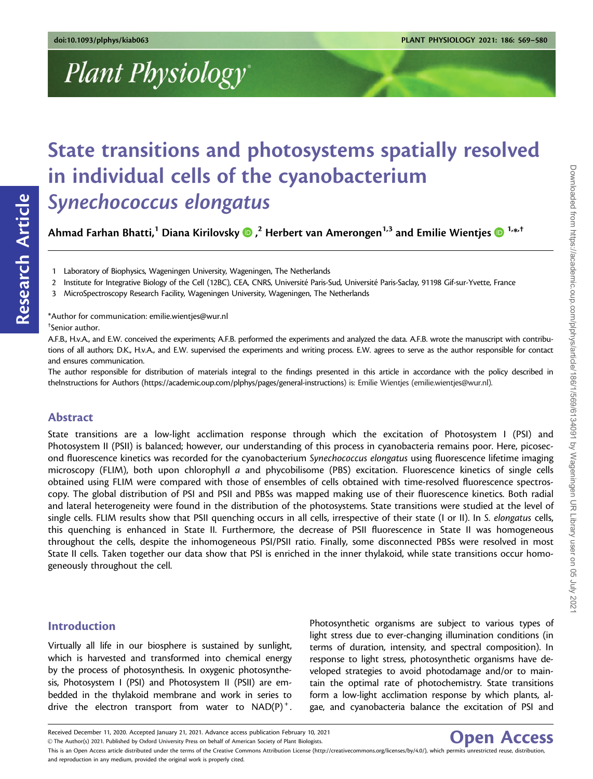# Plant Physiology

# State transitions and photosystems spatially resolved in individual cells of the cyanobacterium Synechococcus elongatus

Ahmad Farhan Bhatti,<sup>1</sup> Diana Kirilovsky **D** ,<sup>2</sup> Herbert van Amerongen<sup>1,3</sup> and Emilie Wientjes <mark>D</mark> 1. $\ast$ ,†

1 Laboratory of Biophysics, Wageningen University, Wageningen, The Netherlands

2 Institute for Integrative Biology of the Cell (12BC), CEA, CNRS, Université Paris-Sud, Université Paris-Saclay, 91198 Gif-sur-Yvette, France

3 MicroSpectroscopy Research Facility, Wageningen University, Wageningen, The Netherlands

\*Author for communication: emilie.wientjes@wur.nl

† Senior author.

Research Article

Research Article

A.F.B., H.v.A., and E.W. conceived the experiments; A.F.B. performed the experiments and analyzed the data. A.F.B. wrote the manuscript with contributions of all authors; D.K., H.v.A., and E.W. supervised the experiments and writing process. E.W. agrees to serve as the author responsible for contact and ensures communication.

The author responsible for distribution of materials integral to the findings presented in this article in accordance with the policy described in theInstructions for Authors (<https://academic.oup.com/plphys/pages/general-instructions>) is: Emilie Wientjes (emilie.wientjes@wur.nl).

# Abstract

State transitions are a low-light acclimation response through which the excitation of Photosystem I (PSI) and Photosystem II (PSII) is balanced; however, our understanding of this process in cyanobacteria remains poor. Here, picosecond fluorescence kinetics was recorded for the cyanobacterium Synechococcus elongatus using fluorescence lifetime imaging microscopy (FLIM), both upon chlorophyll a and phycobilisome (PBS) excitation. Fluorescence kinetics of single cells obtained using FLIM were compared with those of ensembles of cells obtained with time-resolved fluorescence spectroscopy. The global distribution of PSI and PSII and PBSs was mapped making use of their fluorescence kinetics. Both radial and lateral heterogeneity were found in the distribution of the photosystems. State transitions were studied at the level of single cells. FLIM results show that PSII quenching occurs in all cells, irrespective of their state (I or II). In S. elongatus cells, this quenching is enhanced in State II. Furthermore, the decrease of PSII fluorescence in State II was homogeneous throughout the cells, despite the inhomogeneous PSI/PSII ratio. Finally, some disconnected PBSs were resolved in most State II cells. Taken together our data show that PSI is enriched in the inner thylakoid, while state transitions occur homogeneously throughout the cell.

# Introduction

Virtually all life in our biosphere is sustained by sunlight, which is harvested and transformed into chemical energy by the process of photosynthesis. In oxygenic photosynthesis, Photosystem I (PSI) and Photosystem II (PSII) are embedded in the thylakoid membrane and work in series to drive the electron transport from water to  $NAD(P)^+$ . Photosynthetic organisms are subject to various types of light stress due to ever-changing illumination conditions (in terms of duration, intensity, and spectral composition). In response to light stress, photosynthetic organisms have developed strategies to avoid photodamage and/or to maintain the optimal rate of photochemistry. State transitions form a low-light acclimation response by which plants, algae, and cyanobacteria balance the excitation of PSI and

Open Access

Received December 11, 2020. Accepted January 21, 2021. Advance access publication February 10, 2021

V<sup>C</sup> The Author(s) 2021. Published by Oxford University Press on behalf of American Society of Plant Biologists. This is an Open Access article distributed under the terms of the Creative Commons Attribution License (http://creativecommons.org/licenses/by/4.0/), which permits unrestricted reuse, distribution,

and reproduction in any medium, provided the original work is properly cited.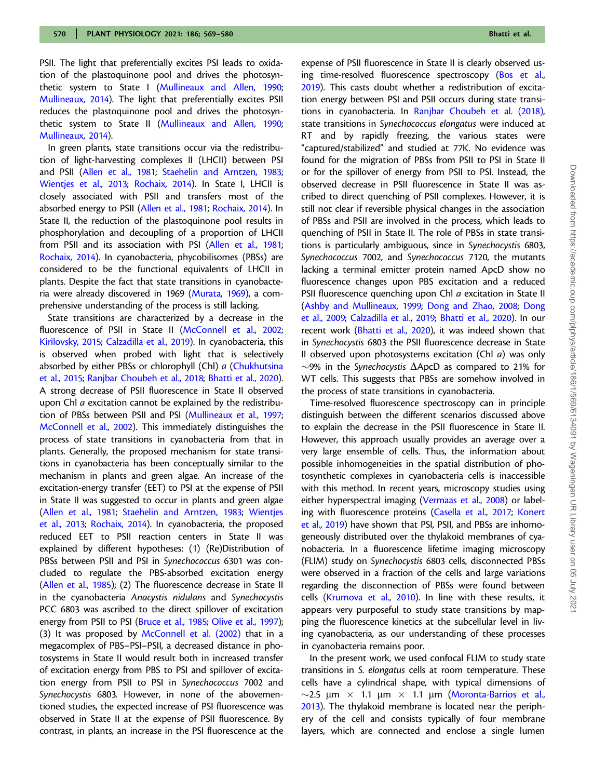PSII. The light that preferentially excites PSI leads to oxidation of the plastoquinone pool and drives the photosynthetic system to State I [\(Mullineaux and Allen, 1990;](#page-10-0) [Mullineaux, 2014](#page-10-0)). The light that preferentially excites PSII reduces the plastoquinone pool and drives the photosynthetic system to State II [\(Mullineaux and Allen, 1990;](#page-10-0) [Mullineaux, 2014](#page-10-0)).

In green plants, state transitions occur via the redistribution of light-harvesting complexes II (LHCII) between PSI and PSII ([Allen et al., 1981](#page-9-0); [Staehelin and Arntzen, 1983;](#page-10-0) [Wientjes et al., 2013;](#page-11-0) [Rochaix, 2014](#page-10-0)). In State I, LHCII is closely associated with PSII and transfers most of the absorbed energy to PSII [\(Allen et al., 1981](#page-9-0); [Rochaix, 2014](#page-10-0)). In State II, the reduction of the plastoquinone pool results in phosphorylation and decoupling of a proportion of LHCII from PSII and its association with PSI ([Allen et al., 1981;](#page-9-0) [Rochaix, 2014\)](#page-10-0). In cyanobacteria, phycobilisomes (PBSs) are considered to be the functional equivalents of LHCII in plants. Despite the fact that state transitions in cyanobacteria were already discovered in 1969 [\(Murata, 1969](#page-10-0)), a comprehensive understanding of the process is still lacking.

State transitions are characterized by a decrease in the fluorescence of PSII in State II ([McConnell et al., 2002;](#page-10-0) [Kirilovsky, 2015](#page-10-0); [Calzadilla et al., 2019\)](#page-10-0). In cyanobacteria, this is observed when probed with light that is selectively absorbed by either PBSs or chlorophyll (Chl) a [\(Chukhutsina](#page-10-0) [et al., 2015;](#page-10-0) [Ranjbar Choubeh et al., 2018](#page-10-0); [Bhatti et al., 2020](#page-9-0)). A strong decrease of PSII fluorescence in State II observed upon Chl a excitation cannot be explained by the redistribution of PBSs between PSII and PSI [\(Mullineaux et al., 1997;](#page-10-0) [McConnell et al., 2002\)](#page-10-0). This immediately distinguishes the process of state transitions in cyanobacteria from that in plants. Generally, the proposed mechanism for state transitions in cyanobacteria has been conceptually similar to the mechanism in plants and green algae. An increase of the excitation-energy transfer (EET) to PSI at the expense of PSII in State II was suggested to occur in plants and green algae [\(Allen et al., 1981](#page-9-0); [Staehelin and Arntzen, 1983;](#page-10-0) [Wientjes](#page-11-0) [et al., 2013](#page-11-0); [Rochaix, 2014](#page-10-0)). In cyanobacteria, the proposed reduced EET to PSII reaction centers in State II was explained by different hypotheses: (1) (Re)Distribution of PBSs between PSII and PSI in Synechococcus 6301 was concluded to regulate the PBS-absorbed excitation energy [\(Allen et al., 1985\)](#page-9-0); (2) The fluorescence decrease in State II in the cyanobacteria Anacystis nidulans and Synechocystis PCC 6803 was ascribed to the direct spillover of excitation energy from PSII to PSI [\(Bruce et al., 1985;](#page-10-0) [Olive et al., 1997](#page-10-0)); (3) It was proposed by [McConnell et al. \(2002\)](#page-10-0) that in a megacomplex of PBS–PSI–PSII, a decreased distance in photosystems in State II would result both in increased transfer of excitation energy from PBS to PSI and spillover of excitation energy from PSII to PSI in Synechococcus 7002 and Synechocystis 6803. However, in none of the abovementioned studies, the expected increase of PSI fluorescence was observed in State II at the expense of PSII fluorescence. By contrast, in plants, an increase in the PSI fluorescence at the expense of PSII fluorescence in State II is clearly observed us-ing time-resolved fluorescence spectroscopy [\(Bos et al.,](#page-9-0) [2019](#page-9-0)). This casts doubt whether a redistribution of excitation energy between PSI and PSII occurs during state transitions in cyanobacteria. In [Ranjbar Choubeh et al. \(2018\),](#page-10-0) state transitions in Synechococcus elongatus were induced at RT and by rapidly freezing, the various states were "captured/stabilized" and studied at 77K. No evidence was found for the migration of PBSs from PSII to PSI in State II or for the spillover of energy from PSII to PSI. Instead, the observed decrease in PSII fluorescence in State II was ascribed to direct quenching of PSII complexes. However, it is still not clear if reversible physical changes in the association of PBSs and PSII are involved in the process, which leads to quenching of PSII in State II. The role of PBSs in state transitions is particularly ambiguous, since in Synechocystis 6803, Synechococcus 7002, and Synechococcus 7120, the mutants lacking a terminal emitter protein named ApcD show no fluorescence changes upon PBS excitation and a reduced PSII fluorescence quenching upon Chl a excitation in State II ([Ashby and Mullineaux, 1999](#page-9-0); [Dong and Zhao, 2008;](#page-10-0) [Dong](#page-10-0) [et al., 2009;](#page-10-0) [Calzadilla et al., 2019;](#page-10-0) [Bhatti et al., 2020\)](#page-9-0). In our recent work [\(Bhatti et al., 2020\)](#page-9-0), it was indeed shown that in Synechocystis 6803 the PSII fluorescence decrease in State II observed upon photosystems excitation (Chl  $a$ ) was only  $\sim$ 9% in the Synechocystis  $\Delta$ ApcD as compared to 21% for WT cells. This suggests that PBSs are somehow involved in the process of state transitions in cyanobacteria.

Time-resolved fluorescence spectroscopy can in principle distinguish between the different scenarios discussed above to explain the decrease in the PSII fluorescence in State II. However, this approach usually provides an average over a very large ensemble of cells. Thus, the information about possible inhomogeneities in the spatial distribution of photosynthetic complexes in cyanobacteria cells is inaccessible with this method. In recent years, microscopy studies using either hyperspectral imaging ([Vermaas et al., 2008\)](#page-11-0) or label-ing with fluorescence proteins ([Casella et al., 2017;](#page-10-0) [Konert](#page-10-0) [et al., 2019\)](#page-10-0) have shown that PSI, PSII, and PBSs are inhomogeneously distributed over the thylakoid membranes of cyanobacteria. In a fluorescence lifetime imaging microscopy (FLIM) study on Synechocystis 6803 cells, disconnected PBSs were observed in a fraction of the cells and large variations regarding the disconnection of PBSs were found between cells ([Krumova et al., 2010](#page-10-0)). In line with these results, it appears very purposeful to study state transitions by mapping the fluorescence kinetics at the subcellular level in living cyanobacteria, as our understanding of these processes in cyanobacteria remains poor.

In the present work, we used confocal FLIM to study state transitions in S. elongatus cells at room temperature. These cells have a cylindrical shape, with typical dimensions of  $\sim$ 2.5 µm  $\times$  1.1 µm  $\times$  1.1 µm [\(Moronta-Barrios et al.,](#page-10-0) [2013](#page-10-0)). The thylakoid membrane is located near the periphery of the cell and consists typically of four membrane layers, which are connected and enclose a single lumen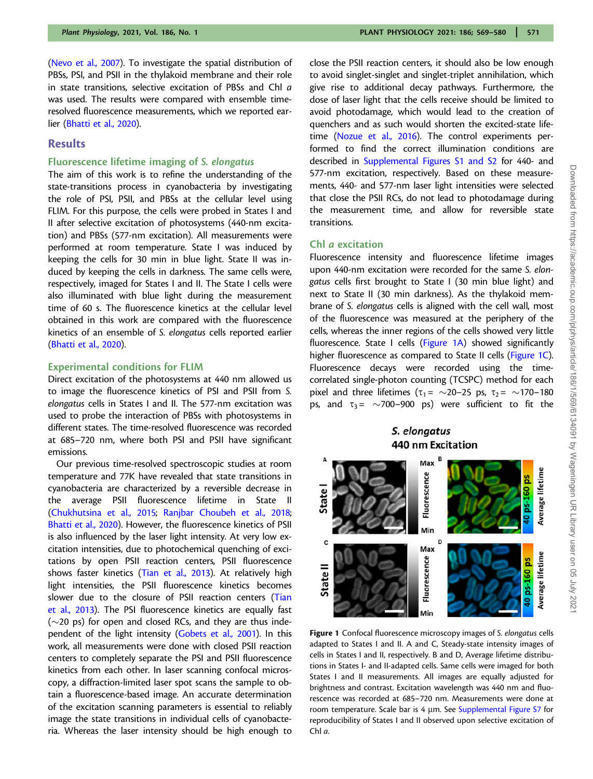<span id="page-2-0"></span>[\(Nevo et al., 2007](#page-10-0)). To investigate the spatial distribution of PBSs, PSI, and PSII in the thylakoid membrane and their role in state transitions, selective excitation of PBSs and Chl a was used. The results were compared with ensemble timeresolved fluorescence measurements, which we reported ear-lier ([Bhatti et al., 2020\)](#page-9-0).

# Results

#### Fluorescence lifetime imaging of S. elongatus

The aim of this work is to refine the understanding of the state-transitions process in cyanobacteria by investigating the role of PSI, PSII, and PBSs at the cellular level using FLIM. For this purpose, the cells were probed in States I and II after selective excitation of photosystems (440-nm excitation) and PBSs (577-nm excitation). All measurements were performed at room temperature. State I was induced by keeping the cells for 30 min in blue light. State II was induced by keeping the cells in darkness. The same cells were, respectively, imaged for States I and II. The State I cells were also illuminated with blue light during the measurement time of 60 s. The fluorescence kinetics at the cellular level obtained in this work are compared with the fluorescence kinetics of an ensemble of S. elongatus cells reported earlier [\(Bhatti et al., 2020](#page-9-0)).

#### Experimental conditions for FLIM

Direct excitation of the photosystems at 440 nm allowed us to image the fluorescence kinetics of PSI and PSII from S. elongatus cells in States I and II. The 577-nm excitation was used to probe the interaction of PBSs with photosystems in different states. The time-resolved fluorescence was recorded at 685–720 nm, where both PSI and PSII have significant emissions.

Our previous time-resolved spectroscopic studies at room temperature and 77K have revealed that state transitions in cyanobacteria are characterized by a reversible decrease in the average PSII fluorescence lifetime in State II [\(Chukhutsina et al., 2015](#page-10-0); [Ranjbar Choubeh et al., 2018](#page-10-0); [Bhatti et al., 2020](#page-9-0)). However, the fluorescence kinetics of PSII is also influenced by the laser light intensity. At very low excitation intensities, due to photochemical quenching of excitations by open PSII reaction centers, PSII fluorescence shows faster kinetics [\(Tian et al., 2013](#page-10-0)). At relatively high light intensities, the PSII fluorescence kinetics becomes slower due to the closure of PSII reaction centers [\(Tian](#page-10-0) [et al., 2013\)](#page-10-0). The PSI fluorescence kinetics are equally fast  $(\sim$ 20 ps) for open and closed RCs, and they are thus inde-pendent of the light intensity [\(Gobets et al., 2001](#page-10-0)). In this work, all measurements were done with closed PSII reaction centers to completely separate the PSI and PSII fluorescence kinetics from each other. In laser scanning confocal microscopy, a diffraction-limited laser spot scans the sample to obtain a fluorescence-based image. An accurate determination of the excitation scanning parameters is essential to reliably image the state transitions in individual cells of cyanobacteria. Whereas the laser intensity should be high enough to

close the PSII reaction centers, it should also be low enough to avoid singlet-singlet and singlet-triplet annihilation, which give rise to additional decay pathways. Furthermore, the dose of laser light that the cells receive should be limited to avoid photodamage, which would lead to the creation of quenchers and as such would shorten the excited-state life-time [\(Nozue et al., 2016](#page-10-0)). The control experiments performed to find the correct illumination conditions are described in [Supplemental Figures S1 and S2](https://academic.oup.com/plphys/article-lookup/doi/10.1093/plphys/kiab063#supplementary-data) for 440- and 577-nm excitation, respectively. Based on these measurements, 440- and 577-nm laser light intensities were selected that close the PSII RCs, do not lead to photodamage during the measurement time, and allow for reversible state transitions.

#### Chl a excitation

Fluorescence intensity and fluorescence lifetime images upon 440-nm excitation were recorded for the same S. elongatus cells first brought to State I (30 min blue light) and next to State II (30 min darkness). As the thylakoid membrane of S. elongatus cells is aligned with the cell wall, most of the fluorescence was measured at the periphery of the cells, whereas the inner regions of the cells showed very little fluorescence. State I cells (Figure 1A) showed significantly higher fluorescence as compared to State II cells (Figure 1C). Fluorescence decays were recorded using the timecorrelated single-photon counting (TCSPC) method for each pixel and three lifetimes ( $\tau_1 = \sim 20-25$  ps,  $\tau_2 = \sim 170-180$ ps, and  $\tau_3 = \sim 700 - 900$  ps) were sufficient to fit the

# S. elongatus **440 nm Excitation**



Figure 1 Confocal fluorescence microscopy images of S. elongatus cells adapted to States I and II. A and C, Steady-state intensity images of cells in States I and II, respectively. B and D, Average lifetime distributions in States I- and II-adapted cells. Same cells were imaged for both States I and II measurements. All images are equally adjusted for brightness and contrast. Excitation wavelength was 440 nm and fluorescence was recorded at 685–720 nm. Measurements were done at room temperature. Scale bar is 4  $\mu$ m. See [Supplemental Figure S7](https://academic.oup.com/plphys/article-lookup/doi/10.1093/plphys/kiab063#supplementary-data) for reproducibility of States I and II observed upon selective excitation of Chl a.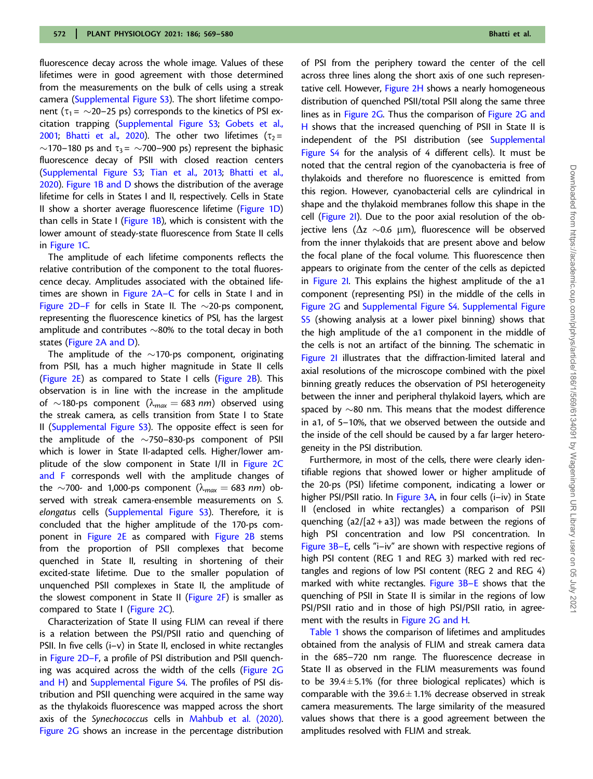fluorescence decay across the whole image. Values of these lifetimes were in good agreement with those determined from the measurements on the bulk of cells using a streak camera [\(Supplemental Figure S3\)](https://academic.oup.com/plphys/article-lookup/doi/10.1093/plphys/kiab063#supplementary-data). The short lifetime component ( $\tau_1$ =  $\sim$ 20–25 ps) corresponds to the kinetics of PSI excitation trapping [\(Supplemental Figure S3;](https://academic.oup.com/plphys/article-lookup/doi/10.1093/plphys/kiab063#supplementary-data) [Gobets et al.,](#page-10-0) [2001;](#page-10-0) [Bhatti et al., 2020\)](#page-9-0). The other two lifetimes ( $\tau_2$ =  $\sim$ 170–180 ps and  $\tau_3$ =  $\sim$ 700–900 ps) represent the biphasic fluorescence decay of PSII with closed reaction centers [\(Supplemental Figure S3;](https://academic.oup.com/plphys/article-lookup/doi/10.1093/plphys/kiab063#supplementary-data) [Tian et al., 2013;](#page-10-0) [Bhatti et al.,](#page-9-0) [2020\)](#page-9-0). [Figure 1B and D](#page-2-0) shows the distribution of the average lifetime for cells in States I and II, respectively. Cells in State II show a shorter average fluorescence lifetime [\(Figure 1D](#page-2-0)) than cells in State I ( $Figure 1B$ ), which is consistent with the lower amount of steady-state fluorescence from State II cells in [Figure 1C](#page-2-0).

The amplitude of each lifetime components reflects the relative contribution of the component to the total fluorescence decay. Amplitudes associated with the obtained life-times are shown in [Figure 2A–C](#page-4-0) for cells in State I and in [Figure 2D–F](#page-4-0) for cells in State II. The  $\sim$ 20-ps component, representing the fluorescence kinetics of PSI, has the largest amplitude and contributes  $\sim$ 80% to the total decay in both states ([Figure 2A and D\)](#page-4-0).

The amplitude of the  $\sim$ 170-ps component, originating from PSII, has a much higher magnitude in State II cells (Figure  $2E$ ) as compared to State I cells (Figure  $2B$ ). This observation is in line with the increase in the amplitude of  $\sim$ 180-ps component ( $\lambda_{max} = 683$  nm) observed using the streak camera, as cells transition from State I to State II [\(Supplemental Figure S3](https://academic.oup.com/plphys/article-lookup/doi/10.1093/plphys/kiab063#supplementary-data)). The opposite effect is seen for the amplitude of the  $\sim$ 750–830-ps component of PSII which is lower in State II-adapted cells. Higher/lower am-plitude of the slow component in State I/II in [Figure 2C](#page-4-0) [and F](#page-4-0) corresponds well with the amplitude changes of the  $\sim$ 700- and 1,000-ps component ( $\lambda_{max} = 683$  *nm*) observed with streak camera-ensemble measurements on S. elongatus cells ([Supplemental Figure S3](https://academic.oup.com/plphys/article-lookup/doi/10.1093/plphys/kiab063#supplementary-data)). Therefore, it is concluded that the higher amplitude of the 170-ps component in [Figure 2E](#page-4-0) as compared with [Figure 2B](#page-4-0) stems from the proportion of PSII complexes that become quenched in State II, resulting in shortening of their excited-state lifetime. Due to the smaller population of unquenched PSII complexes in State II, the amplitude of the slowest component in State II [\(Figure 2F\)](#page-4-0) is smaller as compared to State I ([Figure 2C\)](#page-4-0).

Characterization of State II using FLIM can reveal if there is a relation between the PSI/PSII ratio and quenching of PSII. In five cells (i–v) in State II, enclosed in white rectangles in [Figure 2D–F](#page-4-0), a profile of PSI distribution and PSII quenching was acquired across the width of the cells [\(Figure 2G](#page-4-0) [and H](#page-4-0)) and [Supplemental Figure S4](https://academic.oup.com/plphys/article-lookup/doi/10.1093/plphys/kiab063#supplementary-data). The profiles of PSI distribution and PSII quenching were acquired in the same way as the thylakoids fluorescence was mapped across the short axis of the Synechococcus cells in [Mahbub et al. \(2020\).](#page-10-0) [Figure 2G](#page-4-0) shows an increase in the percentage distribution

of PSI from the periphery toward the center of the cell across three lines along the short axis of one such represen-tative cell. However, [Figure 2H](#page-4-0) shows a nearly homogeneous distribution of quenched PSII/total PSII along the same three lines as in [Figure 2G](#page-4-0). Thus the comparison of [Figure 2G and](#page-4-0) [H](#page-4-0) shows that the increased quenching of PSII in State II is independent of the PSI distribution (see [Supplemental](https://academic.oup.com/plphys/article-lookup/doi/10.1093/plphys/kiab063#supplementary-data) [Figure S4](https://academic.oup.com/plphys/article-lookup/doi/10.1093/plphys/kiab063#supplementary-data) for the analysis of 4 different cells). It must be noted that the central region of the cyanobacteria is free of thylakoids and therefore no fluorescence is emitted from this region. However, cyanobacterial cells are cylindrical in shape and the thylakoid membranes follow this shape in the cell [\(Figure 2I](#page-4-0)). Due to the poor axial resolution of the objective lens ( $\Delta$ z  $\sim$ 0.6  $\mu$ m), fluorescence will be observed from the inner thylakoids that are present above and below the focal plane of the focal volume. This fluorescence then appears to originate from the center of the cells as depicted in [Figure 2I](#page-4-0). This explains the highest amplitude of the a1 component (representing PSI) in the middle of the cells in [Figure 2G](#page-4-0) and [Supplemental Figure S4](https://academic.oup.com/plphys/article-lookup/doi/10.1093/plphys/kiab063#supplementary-data). [Supplemental Figure](https://academic.oup.com/plphys/article-lookup/doi/10.1093/plphys/kiab063#supplementary-data) [S5](https://academic.oup.com/plphys/article-lookup/doi/10.1093/plphys/kiab063#supplementary-data) (showing analysis at a lower pixel binning) shows that the high amplitude of the a1 component in the middle of the cells is not an artifact of the binning. The schematic in [Figure 2I](#page-4-0) illustrates that the diffraction-limited lateral and axial resolutions of the microscope combined with the pixel binning greatly reduces the observation of PSI heterogeneity between the inner and peripheral thylakoid layers, which are spaced by  $\sim$ 80 nm. This means that the modest difference in a1, of 5–10%, that we observed between the outside and the inside of the cell should be caused by a far larger heterogeneity in the PSI distribution.

Furthermore, in most of the cells, there were clearly identifiable regions that showed lower or higher amplitude of the 20-ps (PSI) lifetime component, indicating a lower or higher PSI/PSII ratio. In [Figure 3A,](#page-5-0) in four cells (i–iv) in State II (enclosed in white rectangles) a comparison of PSII quenching  $(a2/[a2 + a3])$  was made between the regions of high PSI concentration and low PSI concentration. In [Figure 3B–E](#page-5-0), cells "i–iv" are shown with respective regions of high PSI content (REG 1 and REG 3) marked with red rectangles and regions of low PSI content (REG 2 and REG 4) marked with white rectangles. [Figure 3B–E](#page-5-0) shows that the quenching of PSII in State II is similar in the regions of low PSI/PSII ratio and in those of high PSI/PSII ratio, in agreement with the results in [Figure 2G and H.](#page-4-0)

[Table 1](#page-6-0) shows the comparison of lifetimes and amplitudes obtained from the analysis of FLIM and streak camera data in the 685–720 nm range. The fluorescence decrease in State II as observed in the FLIM measurements was found to be 39.4 $\pm$ 5.1% (for three biological replicates) which is comparable with the  $39.6 \pm 1.1\%$  decrease observed in streak camera measurements. The large similarity of the measured values shows that there is a good agreement between the amplitudes resolved with FLIM and streak.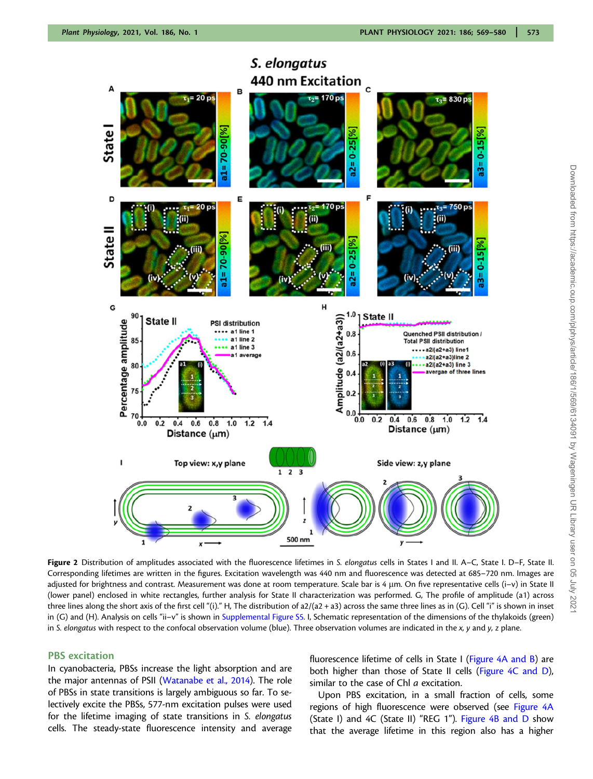<span id="page-4-0"></span>

S. elongatus **440 nm Excitation** 

Figure 2 Distribution of amplitudes associated with the fluorescence lifetimes in S. elongatus cells in States I and II. A–C, State I. D–F, State II. Corresponding lifetimes are written in the figures. Excitation wavelength was 440 nm and fluorescence was detected at 685–720 nm. Images are adjusted for brightness and contrast. Measurement was done at room temperature. Scale bar is 4 µm. On five representative cells (i–v) in State II (lower panel) enclosed in white rectangles, further analysis for State II characterization was performed. G, The profile of amplitude (a1) across three lines along the short axis of the first cell "(i)." H, The distribution of a2/(a2 + a3) across the same three lines as in (G). Cell "i" is shown in inset in (G) and (H). Analysis on cells "ii–v" is shown in [Supplemental Figure S5.](https://academic.oup.com/plphys/article-lookup/doi/10.1093/plphys/kiab063#supplementary-data) I, Schematic representation of the dimensions of the thylakoids (green) in S. elongatus with respect to the confocal observation volume (blue). Three observation volumes are indicated in the  $x$ , y and  $y$ , z plane.

#### PBS excitation

In cyanobacteria, PBSs increase the light absorption and are the major antennas of PSII [\(Watanabe et al., 2014\)](#page-11-0). The role of PBSs in state transitions is largely ambiguous so far. To selectively excite the PBSs, 577-nm excitation pulses were used for the lifetime imaging of state transitions in S. elongatus cells. The steady-state fluorescence intensity and average fluorescence lifetime of cells in State I [\(Figure 4A and B](#page-6-0)) are both higher than those of State II cells ([Figure 4C and D\)](#page-6-0), similar to the case of Chl a excitation.

Upon PBS excitation, in a small fraction of cells, some regions of high fluorescence were observed (see [Figure 4A](#page-6-0) (State I) and 4C (State II) "REG 1"). [Figure 4B and D](#page-6-0) show that the average lifetime in this region also has a higher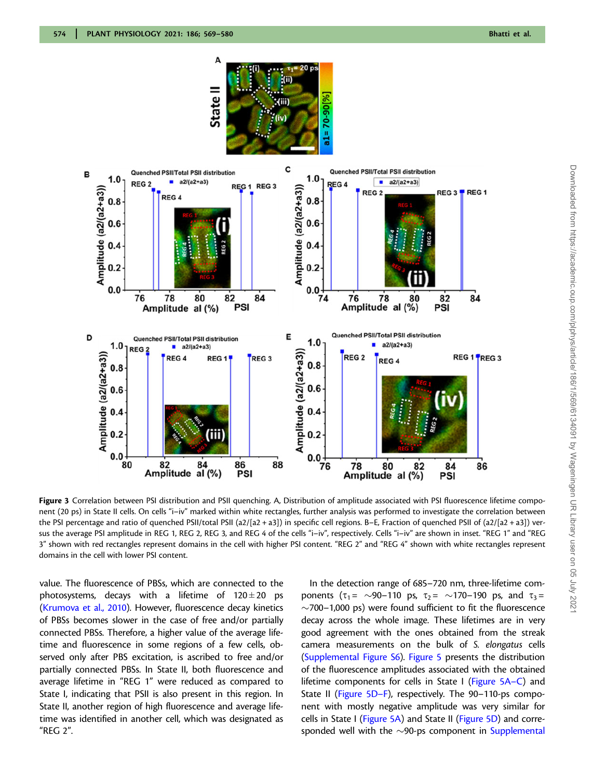<span id="page-5-0"></span>

Figure 3 Correlation between PSI distribution and PSII quenching. A, Distribution of amplitude associated with PSI fluorescence lifetime component (20 ps) in State II cells. On cells "i–iv" marked within white rectangles, further analysis was performed to investigate the correlation between the PSI percentage and ratio of quenched PSII/total PSII (a2/[a2 + a3]) in specific cell regions. B-E, Fraction of quenched PSII of (a2/[a2 + a3]) versus the average PSI amplitude in REG 1, REG 2, REG 3, and REG 4 of the cells "i–iv", respectively. Cells "i–iv" are shown in inset. "REG 1" and "REG 3" shown with red rectangles represent domains in the cell with higher PSI content. "REG 2" and "REG 4" shown with white rectangles represent domains in the cell with lower PSI content.

value. The fluorescence of PBSs, which are connected to the photosystems, decays with a lifetime of  $120 \pm 20$  ps [\(Krumova et al., 2010\)](#page-10-0). However, fluorescence decay kinetics of PBSs becomes slower in the case of free and/or partially connected PBSs. Therefore, a higher value of the average lifetime and fluorescence in some regions of a few cells, observed only after PBS excitation, is ascribed to free and/or partially connected PBSs. In State II, both fluorescence and average lifetime in "REG 1" were reduced as compared to State I, indicating that PSII is also present in this region. In State II, another region of high fluorescence and average lifetime was identified in another cell, which was designated as "REG 2".

In the detection range of 685–720 nm, three-lifetime components ( $\tau_1 = \sim 90 - 110$  ps,  $\tau_2 = \sim 170 - 190$  ps, and  $\tau_3 =$  $\sim$ 700–1,000 ps) were found sufficient to fit the fluorescence decay across the whole image. These lifetimes are in very good agreement with the ones obtained from the streak camera measurements on the bulk of S. elongatus cells ([Supplemental Figure S6\)](https://academic.oup.com/plphys/article-lookup/doi/10.1093/plphys/kiab063#supplementary-data). [Figure 5](#page-7-0) presents the distribution of the fluorescence amplitudes associated with the obtained lifetime components for cells in State I [\(Figure 5A–C\)](#page-7-0) and State II [\(Figure 5D–F](#page-7-0)), respectively. The 90–110-ps component with mostly negative amplitude was very similar for cells in State I [\(Figure 5A\)](#page-7-0) and State II [\(Figure 5D\)](#page-7-0) and corresponded well with the  $\sim$ 90-ps component in [Supplemental](https://academic.oup.com/plphys/article-lookup/doi/10.1093/plphys/kiab063#supplementary-data)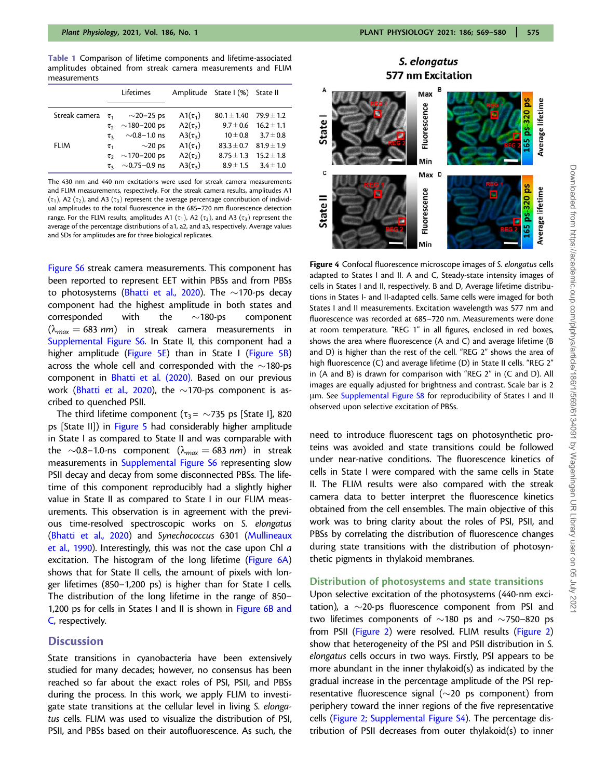<span id="page-6-0"></span>Table 1 Comparison of lifetime components and lifetime-associated amplitudes obtained from streak camera measurements and FLIM measurements

|               |                | Lifetimes               |                 | Amplitude State I (%) State II |                              |
|---------------|----------------|-------------------------|-----------------|--------------------------------|------------------------------|
| Streak camera | $\tau_{1}$     | $\sim$ 20–25 ps         | A1 $(\tau_1)$   | $80.1 \pm 1.40$                | $79.9 \pm 1.2$               |
|               |                | $\tau_2$ ~180-200 ps    | A2 $(\tau_2)$   |                                | $9.7 \pm 0.6$ 16.2 $\pm$ 1.1 |
|               | $\tau_{\rm a}$ | $\sim$ 0.8–1.0 ns       | A3 $(\tau_3)$   | $10 \pm 0.8$                   | $3.7 \pm 0.8$                |
| <b>FLIM</b>   | $\tau_{1}$     | $\sim$ 20 ps            | A1 $(\tau_1)$   | $83.3 \pm 0.7$                 | $81.9 \pm 1.9$               |
|               |                | $\tau_2$ ~170-200 ps    | A2 $(\tau_2)$   | $8.75 \pm 1.3$                 | $15.2 \pm 1.8$               |
|               |                | $\tau_{3}$ ~0.75–0.9 ns | A3 $(\tau_{3})$ | $8.9 \pm 1.5$                  | $3.4 \pm 1.0$                |

The 430 nm and 440 nm excitations were used for streak camera measurements and FLIM measurements, respectively. For the streak camera results, amplitudes A1  $(\tau_1)$ , A2  $(\tau_2)$ , and A3  $(\tau_3)$  represent the average percentage contribution of individual amplitudes to the total fluorescence in the 685–720 nm fluorescence detection range. For the FLIM results, amplitudes A1 ( $\tau_1$ ), A2 ( $\tau_2$ ), and A3 ( $\tau_3$ ) represent the average of the percentage distributions of a1, a2, and a3, respectively. Average values and SDs for amplitudes are for three biological replicates.

[Figure S6](https://academic.oup.com/plphys/article-lookup/doi/10.1093/plphys/kiab063#supplementary-data) streak camera measurements. This component has been reported to represent EET within PBSs and from PBSs to photosystems (<mark>Bhatti et al., 2020). The  $\sim$ 170-ps deca</mark>y component had the highest amplitude in both states and corresponded with the  $\sim$ 180-ps component  $(\lambda_{max} = 683 \text{ nm})$  in streak camera measurements in [Supplemental Figure S6](https://academic.oup.com/plphys/article-lookup/doi/10.1093/plphys/kiab063#supplementary-data). In State II, this component had a higher amplitude [\(Figure 5E](#page-7-0)) than in State I [\(Figure 5B\)](#page-7-0) across the whole cell and corresponded with the  $\sim$ 180-ps component in [Bhatti et al. \(2020\).](#page-9-0) Based on our previous work ( $\texttt{Bhatti}$  et al., 2020), the  $\sim$ 170-ps component is ascribed to quenched PSII.

The third lifetime component ( $\tau_3$ =  $\sim$ 735 ps [State I], 820 ps [State II]) in [Figure 5](#page-7-0) had considerably higher amplitude in State I as compared to State II and was comparable with the  ${\sim}0.8$ –1.0-ns component ( $\lambda_{max}=$  683 nm) in streak measurements in [Supplemental Figure S6](https://academic.oup.com/plphys/article-lookup/doi/10.1093/plphys/kiab063#supplementary-data) representing slow PSII decay and decay from some disconnected PBSs. The lifetime of this component reproducibly had a slightly higher value in State II as compared to State I in our FLIM measurements. This observation is in agreement with the previous time-resolved spectroscopic works on S. elongatus [\(Bhatti et al., 2020](#page-9-0)) and Synechococcus 6301 ([Mullineaux](#page-10-0) [et al., 1990](#page-10-0)). Interestingly, this was not the case upon Chl a excitation. The histogram of the long lifetime ([Figure 6A\)](#page-7-0) shows that for State II cells, the amount of pixels with longer lifetimes (850–1,200 ps) is higher than for State I cells. The distribution of the long lifetime in the range of 850– 1,200 ps for cells in States I and II is shown in [Figure 6B and](#page-7-0) [C](#page-7-0), respectively.

## **Discussion**

State transitions in cyanobacteria have been extensively studied for many decades; however, no consensus has been reached so far about the exact roles of PSI, PSII, and PBSs during the process. In this work, we apply FLIM to investigate state transitions at the cellular level in living S. elongatus cells. FLIM was used to visualize the distribution of PSI, PSII, and PBSs based on their autofluorescence. As such, the



Figure 4 Confocal fluorescence microscope images of S. elongatus cells adapted to States I and II. A and C, Steady-state intensity images of cells in States I and II, respectively. B and D, Average lifetime distributions in States I- and II-adapted cells. Same cells were imaged for both States I and II measurements. Excitation wavelength was 577 nm and fluorescence was recorded at 685–720 nm. Measurements were done at room temperature. "REG 1" in all figures, enclosed in red boxes, shows the area where fluorescence (A and C) and average lifetime (B and D) is higher than the rest of the cell. "REG 2" shows the area of high fluorescence (C) and average lifetime (D) in State II cells. "REG 2" in (A and B) is drawn for comparison with "REG 2" in (C and D). All images are equally adjusted for brightness and contrast. Scale bar is 2 µm. See [Supplemental Figure S8](https://academic.oup.com/plphys/article-lookup/doi/10.1093/plphys/kiab063#supplementary-data) for reproducibility of States I and II observed upon selective excitation of PBSs.

need to introduce fluorescent tags on photosynthetic proteins was avoided and state transitions could be followed under near-native conditions. The fluorescence kinetics of cells in State I were compared with the same cells in State II. The FLIM results were also compared with the streak camera data to better interpret the fluorescence kinetics obtained from the cell ensembles. The main objective of this work was to bring clarity about the roles of PSI, PSII, and PBSs by correlating the distribution of fluorescence changes during state transitions with the distribution of photosynthetic pigments in thylakoid membranes.

#### Distribution of photosystems and state transitions

Upon selective excitation of the photosystems (440-nm excitation), a  $\sim$ 20-ps fluorescence component from PSI and two lifetimes components of  $\sim$ 180 ps and  $\sim$ 750–820 ps from PSII [\(Figure 2\)](#page-4-0) were resolved. FLIM results [\(Figure 2\)](#page-4-0) show that heterogeneity of the PSI and PSII distribution in S. elongatus cells occurs in two ways. Firstly, PSI appears to be more abundant in the inner thylakoid(s) as indicated by the gradual increase in the percentage amplitude of the PSI representative fluorescence signal ( $\sim$ 20 ps component) from periphery toward the inner regions of the five representative cells [\(Figure 2;](#page-4-0) [Supplemental Figure S4](https://academic.oup.com/plphys/article-lookup/doi/10.1093/plphys/kiab063#supplementary-data)). The percentage distribution of PSII decreases from outer thylakoid(s) to inner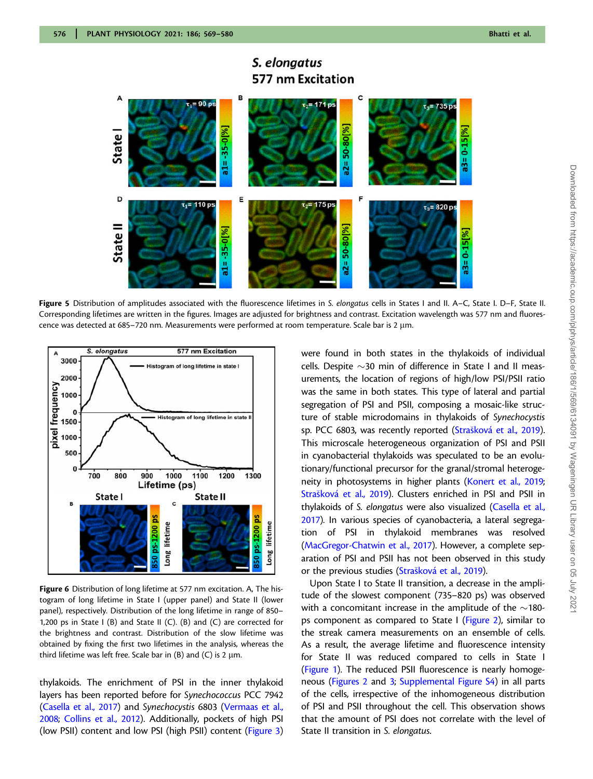<span id="page-7-0"></span>

# S. elongatus **577 nm Excitation**

Figure 5 Distribution of amplitudes associated with the fluorescence lifetimes in S. elongatus cells in States I and II. A–C, State I. D–F, State II. Corresponding lifetimes are written in the figures. Images are adjusted for brightness and contrast. Excitation wavelength was 577 nm and fluorescence was detected at 685–720 nm. Measurements were performed at room temperature. Scale bar is 2 µm.



Figure 6 Distribution of long lifetime at 577 nm excitation. A, The histogram of long lifetime in State I (upper panel) and State II (lower panel), respectively. Distribution of the long lifetime in range of 850– 1,200 ps in State I (B) and State II (C). (B) and (C) are corrected for the brightness and contrast. Distribution of the slow lifetime was obtained by fixing the first two lifetimes in the analysis, whereas the third lifetime was left free. Scale bar in (B) and (C) is 2  $\mu$ m.

thylakoids. The enrichment of PSI in the inner thylakoid layers has been reported before for Synechococcus PCC 7942 [\(Casella et al., 2017\)](#page-10-0) and Synechocystis 6803 [\(Vermaas et al.,](#page-11-0) [2008;](#page-11-0) [Collins et al., 2012\)](#page-10-0). Additionally, pockets of high PSI (low PSII) content and low PSI (high PSII) content [\(Figure 3](#page-5-0)) were found in both states in the thylakoids of individual cells. Despite  $\sim$ 30 min of difference in State I and II measurements, the location of regions of high/low PSI/PSII ratio was the same in both states. This type of lateral and partial segregation of PSI and PSII, composing a mosaic-like structure of stable microdomains in thylakoids of Synechocystis sp. PCC 6803, was recently reported [\(Stra](#page-10-0)šková et al., 2019). This microscale heterogeneous organization of PSI and PSII in cyanobacterial thylakoids was speculated to be an evolutionary/functional precursor for the granal/stromal heteroge-neity in photosystems in higher plants [\(Konert et al., 2019;](#page-10-0) [Stra](#page-10-0)šková et al., 2019). Clusters enriched in PSI and PSII in thylakoids of S. elongatus were also visualized [\(Casella et al.,](#page-10-0) [2017](#page-10-0)). In various species of cyanobacteria, a lateral segregation of PSI in thylakoid membranes was resolved ([MacGregor-Chatwin et al., 2017\)](#page-10-0). However, a complete separation of PSI and PSII has not been observed in this study or the previous studies [\(Stra](#page-10-0)šková et al., 2019).

Upon State I to State II transition, a decrease in the amplitude of the slowest component (735–820 ps) was observed with a concomitant increase in the amplitude of the  $\sim$ 180ps component as compared to State I [\(Figure 2](#page-4-0)), similar to the streak camera measurements on an ensemble of cells. As a result, the average lifetime and fluorescence intensity for State II was reduced compared to cells in State I ([Figure 1\)](#page-2-0). The reduced PSII fluorescence is nearly homogeneous [\(Figures 2](#page-4-0) and [3](#page-5-0); [Supplemental Figure S4\)](https://academic.oup.com/plphys/article-lookup/doi/10.1093/plphys/kiab063#supplementary-data) in all parts of the cells, irrespective of the inhomogeneous distribution of PSI and PSII throughout the cell. This observation shows that the amount of PSI does not correlate with the level of State II transition in S. elongatus.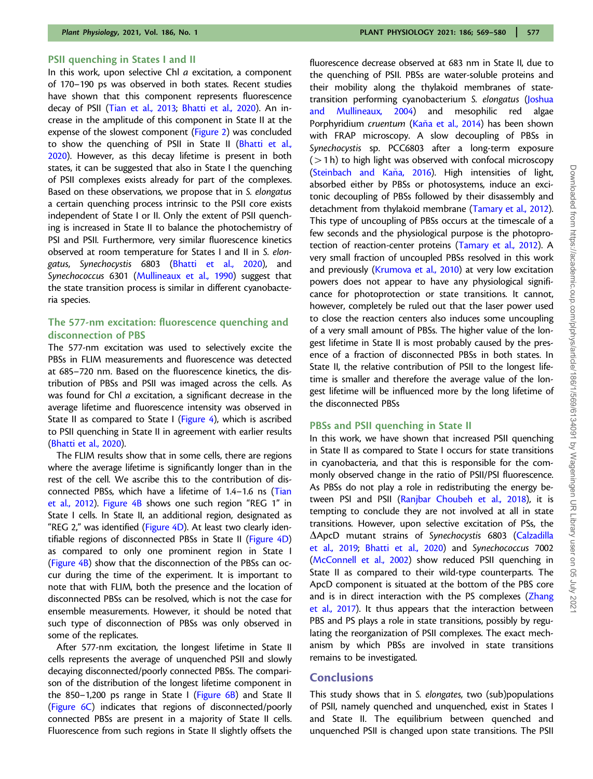#### PSII quenching in States I and II

In this work, upon selective Chl a excitation, a component of 170–190 ps was observed in both states. Recent studies have shown that this component represents fluorescence decay of PSII [\(Tian et al., 2013;](#page-10-0) [Bhatti et al., 2020\)](#page-9-0). An increase in the amplitude of this component in State II at the expense of the slowest component [\(Figure 2](#page-4-0)) was concluded to show the quenching of PSII in State II [\(Bhatti et al.,](#page-9-0) [2020](#page-9-0)). However, as this decay lifetime is present in both states, it can be suggested that also in State I the quenching of PSII complexes exists already for part of the complexes. Based on these observations, we propose that in S. elongatus a certain quenching process intrinsic to the PSII core exists independent of State I or II. Only the extent of PSII quenching is increased in State II to balance the photochemistry of PSI and PSII. Furthermore, very similar fluorescence kinetics observed at room temperature for States I and II in S. elon-gatus, Synechocystis 6803 ([Bhatti et al., 2020](#page-9-0)), and Synechococcus 6301 [\(Mullineaux et al., 1990\)](#page-10-0) suggest that the state transition process is similar in different cyanobacteria species.

# The 577-nm excitation: fluorescence quenching and disconnection of PBS

The 577-nm excitation was used to selectively excite the PBSs in FLIM measurements and fluorescence was detected at 685–720 nm. Based on the fluorescence kinetics, the distribution of PBSs and PSII was imaged across the cells. As was found for Chl a excitation, a significant decrease in the average lifetime and fluorescence intensity was observed in State II as compared to State I [\(Figure 4\)](#page-6-0), which is ascribed to PSII quenching in State II in agreement with earlier results [\(Bhatti et al., 2020](#page-9-0)).

The FLIM results show that in some cells, there are regions where the average lifetime is significantly longer than in the rest of the cell. We ascribe this to the contribution of disconnected PBSs, which have a lifetime of 1.4–1.6 ns [\(Tian](#page-10-0) [et al., 2012](#page-10-0)). [Figure 4B](#page-6-0) shows one such region "REG 1" in State I cells. In State II, an additional region, designated as "REG 2," was identified (Figure  $4D$ ). At least two clearly identifiable regions of disconnected PBSs in State II [\(Figure 4D\)](#page-6-0) as compared to only one prominent region in State I [\(Figure 4B\)](#page-6-0) show that the disconnection of the PBSs can occur during the time of the experiment. It is important to note that with FLIM, both the presence and the location of disconnected PBSs can be resolved, which is not the case for ensemble measurements. However, it should be noted that such type of disconnection of PBSs was only observed in some of the replicates.

After 577-nm excitation, the longest lifetime in State II cells represents the average of unquenched PSII and slowly decaying disconnected/poorly connected PBSs. The comparison of the distribution of the longest lifetime component in the 850–1,200 ps range in State I (Figure  $6B$ ) and State II [\(Figure 6C\)](#page-7-0) indicates that regions of disconnected/poorly connected PBSs are present in a majority of State II cells. Fluorescence from such regions in State II slightly offsets the

fluorescence decrease observed at 683 nm in State II, due to the quenching of PSII. PBSs are water-soluble proteins and their mobility along the thylakoid membranes of statetransition performing cyanobacterium S. elongatus [\(Joshua](#page-10-0) [and Mullineaux, 2004\)](#page-10-0) and mesophilic red algae Porphyridium cruentum (Kaňa et al., 2014) has been shown with FRAP microscopy. A slow decoupling of PBSs in Synechocystis sp. PCC6803 after a long-term exposure  $(>1 h)$  to high light was observed with confocal microscopy (Steinbach and Kaňa, 2016). High intensities of light, absorbed either by PBSs or photosystems, induce an excitonic decoupling of PBSs followed by their disassembly and detachment from thylakoid membrane ([Tamary et al., 2012\)](#page-10-0). This type of uncoupling of PBSs occurs at the timescale of a few seconds and the physiological purpose is the photoprotection of reaction-center proteins ([Tamary et al., 2012](#page-10-0)). A very small fraction of uncoupled PBSs resolved in this work and previously ([Krumova et al., 2010\)](#page-10-0) at very low excitation powers does not appear to have any physiological significance for photoprotection or state transitions. It cannot, however, completely be ruled out that the laser power used to close the reaction centers also induces some uncoupling of a very small amount of PBSs. The higher value of the longest lifetime in State II is most probably caused by the presence of a fraction of disconnected PBSs in both states. In State II, the relative contribution of PSII to the longest lifetime is smaller and therefore the average value of the longest lifetime will be influenced more by the long lifetime of the disconnected PBSs

#### PBSs and PSII quenching in State II

In this work, we have shown that increased PSII quenching in State II as compared to State I occurs for state transitions in cyanobacteria, and that this is responsible for the commonly observed change in the ratio of PSII/PSI fluorescence. As PBSs do not play a role in redistributing the energy be-tween PSI and PSII [\(Ranjbar Choubeh et al., 2018](#page-10-0)), it is tempting to conclude they are not involved at all in state transitions. However, upon selective excitation of PSs, the  $\triangle$ ApcD mutant strains of Synechocystis 6803 ([Calzadilla](#page-10-0) [et al., 2019](#page-10-0); [Bhatti et al., 2020\)](#page-9-0) and Synechococcus 7002 [\(McConnell et al., 2002](#page-10-0)) show reduced PSII quenching in State II as compared to their wild-type counterparts. The ApcD component is situated at the bottom of the PBS core and is in direct interaction with the PS complexes ([Zhang](#page-11-0) [et al., 2017](#page-11-0)). It thus appears that the interaction between PBS and PS plays a role in state transitions, possibly by regulating the reorganization of PSII complexes. The exact mechanism by which PBSs are involved in state transitions remains to be investigated.

# **Conclusions**

This study shows that in S. elongates, two (sub)populations of PSII, namely quenched and unquenched, exist in States I and State II. The equilibrium between quenched and unquenched PSII is changed upon state transitions. The PSII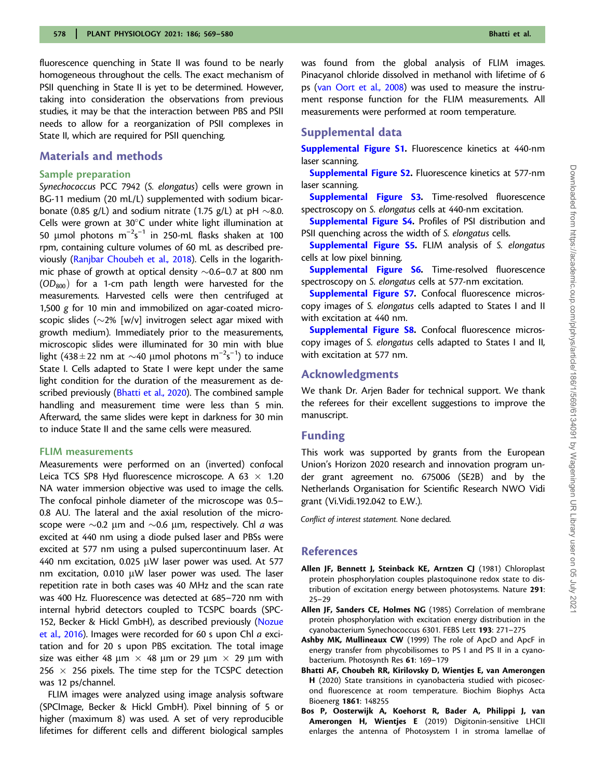<span id="page-9-0"></span>fluorescence quenching in State II was found to be nearly homogeneous throughout the cells. The exact mechanism of PSII quenching in State II is yet to be determined. However, taking into consideration the observations from previous studies, it may be that the interaction between PBS and PSII needs to allow for a reorganization of PSII complexes in State II, which are required for PSII quenching.

# Materials and methods

#### Sample preparation

Synechococcus PCC 7942 (S. elongatus) cells were grown in BG-11 medium (20 mL/L) supplemented with sodium bicarbonate (0.85 g/L) and sodium nitrate (1.75 g/L) at pH  ${\sim}8.0$ . Cells were grown at  $30^{\circ}$ C under white light illumination at 50  $\mu$ mol photons m<sup>-2</sup>s<sup>-1</sup> in 250-mL flasks shaken at 100 rpm, containing culture volumes of 60 mL as described pre-viously ([Ranjbar Choubeh et al., 2018](#page-10-0)). Cells in the logarithmic phase of growth at optical density  ${\sim}$ 0.6–0.7 at 800 nm  $(OD<sub>800</sub>)$  for a 1-cm path length were harvested for the measurements. Harvested cells were then centrifuged at 1,500 g for 10 min and immobilized on agar-coated microscopic slides ( $\sim$ 2% [w/v] invitrogen select agar mixed with growth medium). Immediately prior to the measurements, microscopic slides were illuminated for 30 min with blue light (438 ± 22 nm at  $\sim$  40 µmol photons m<sup>-2</sup>s<sup>-1</sup>) to induce State I. Cells adapted to State I were kept under the same light condition for the duration of the measurement as described previously (Bhatti et al., 2020). The combined sample handling and measurement time were less than 5 min. Afterward, the same slides were kept in darkness for 30 min to induce State II and the same cells were measured.

#### FLIM measurements

Measurements were performed on an (inverted) confocal Leica TCS SP8 Hyd fluorescence microscope. A 63  $\times$  1.20 NA water immersion objective was used to image the cells. The confocal pinhole diameter of the microscope was 0.5– 0.8 AU. The lateral and the axial resolution of the microscope were  $\sim$ 0.2  $\mu$ m and  $\sim$ 0.6  $\mu$ m, respectively. Chl a was excited at 440 nm using a diode pulsed laser and PBSs were excited at 577 nm using a pulsed supercontinuum laser. At 440 nm excitation, 0.025  $\mu$ W laser power was used. At 577 nm excitation,  $0.010$   $\mu$ W laser power was used. The laser repetition rate in both cases was 40 MHz and the scan rate was 400 Hz. Fluorescence was detected at 685–720 nm with internal hybrid detectors coupled to TCSPC boards (SPC-152, Becker & Hickl GmbH), as described previously [\(Nozue](#page-10-0) [et al., 2016\)](#page-10-0). Images were recorded for 60 s upon Chl a excitation and for 20 s upon PBS excitation. The total image size was either 48  $\mu$ m  $\times$  48  $\mu$ m or 29  $\mu$ m  $\times$  29  $\mu$ m with 256  $\times$  256 pixels. The time step for the TCSPC detection was 12 ps/channel.

FLIM images were analyzed using image analysis software (SPCImage, Becker & Hickl GmbH). Pixel binning of 5 or higher (maximum 8) was used. A set of very reproducible lifetimes for different cells and different biological samples was found from the global analysis of FLIM images. Pinacyanol chloride dissolved in methanol with lifetime of 6 ps ([van Oort et al., 2008](#page-10-0)) was used to measure the instrument response function for the FLIM measurements. All measurements were performed at room temperature.

# Supplemental data

[Supplemental Figure S1.](https://academic.oup.com/plphys/article-lookup/doi/10.1093/plphys/kiab063#supplementary-data) Fluorescence kinetics at 440-nm laser scanning.

[Supplemental Figure S2](https://academic.oup.com/plphys/article-lookup/doi/10.1093/plphys/kiab063#supplementary-data). Fluorescence kinetics at 577-nm laser scanning.

[Supplemental Figure S3.](https://academic.oup.com/plphys/article-lookup/doi/10.1093/plphys/kiab063#supplementary-data) Time-resolved fluorescence spectroscopy on S. elongatus cells at 440-nm excitation.

[Supplemental Figure S4](https://academic.oup.com/plphys/article-lookup/doi/10.1093/plphys/kiab063#supplementary-data). Profiles of PSI distribution and PSII quenching across the width of S. elongatus cells.

[Supplemental Figure S5.](https://academic.oup.com/plphys/article-lookup/doi/10.1093/plphys/kiab063#supplementary-data) FLIM analysis of S. elongatus cells at low pixel binning.

[Supplemental Figure S6.](https://academic.oup.com/plphys/article-lookup/doi/10.1093/plphys/kiab063#supplementary-data) Time-resolved fluorescence spectroscopy on S. elongatus cells at 577-nm excitation.

[Supplemental Figure S7.](https://academic.oup.com/plphys/article-lookup/doi/10.1093/plphys/kiab063#supplementary-data) Confocal fluorescence microscopy images of S. elongatus cells adapted to States I and II with excitation at 440 nm.

[Supplemental Figure S8.](https://academic.oup.com/plphys/article-lookup/doi/10.1093/plphys/kiab063#supplementary-data) Confocal fluorescence microscopy images of S. elongatus cells adapted to States I and II, with excitation at 577 nm.

# Acknowledgments

We thank Dr. Arjen Bader for technical support. We thank the referees for their excellent suggestions to improve the manuscript.

# Funding

This work was supported by grants from the European Union's Horizon 2020 research and innovation program under grant agreement no. 675006 (SE2B) and by the Netherlands Organisation for Scientific Research NWO Vidi grant (Vi.Vidi.192.042 to E.W.).

Conflict of interest statement. None declared.

#### References

- Allen JF, Bennett J, Steinback KE, Arntzen CJ (1981) Chloroplast protein phosphorylation couples plastoquinone redox state to distribution of excitation energy between photosystems. Nature 291: 25–29
- Allen JF, Sanders CE, Holmes NG (1985) Correlation of membrane protein phosphorylation with excitation energy distribution in the cyanobacterium Synechococcus 6301. FEBS Lett 193: 271–275
- Ashby MK, Mullineaux CW (1999) The role of ApcD and ApcF in energy transfer from phycobilisomes to PS I and PS II in a cyanobacterium. Photosynth Res 61: 169–179
- Bhatti AF, Choubeh RR, Kirilovsky D, Wientjes E, van Amerongen H (2020) State transitions in cyanobacteria studied with picosecond fluorescence at room temperature. Biochim Biophys Acta Bioenerg 1861: 148255
- Bos P, Oosterwijk A, Koehorst R, Bader A, Philippi J, van Amerongen H, Wientjes E (2019) Digitonin-sensitive LHCII enlarges the antenna of Photosystem I in stroma lamellae of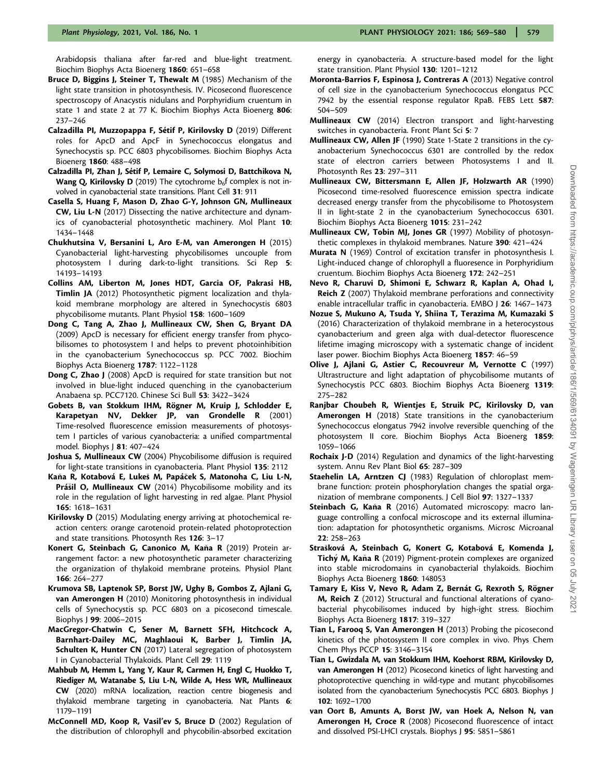<span id="page-10-0"></span>Arabidopsis thaliana after far-red and blue-light treatment. Biochim Biophys Acta Bioenerg 1860: 651–658

- Bruce D, Biggins J, Steiner T, Thewalt M (1985) Mechanism of the light state transition in photosynthesis. IV. Picosecond fluorescence spectroscopy of Anacystis nidulans and Porphyridium cruentum in state 1 and state 2 at 77 K. Biochim Biophys Acta Bioenerg 806: 237–246
- Calzadilla PI, Muzzopappa F, Sétif P, Kirilovsky D (2019) Different roles for ApcD and ApcF in Synechococcus elongatus and Synechocystis sp. PCC 6803 phycobilisomes. Biochim Biophys Acta Bioenerg 1860: 488–498
- Calzadilla PI, Zhan J, Sétif P, Lemaire C, Solymosi D, Battchikova N, **Wang Q, Kirilovsky D** (2019) The cytochrome  $b<sub>6</sub>f$  complex is not involved in cyanobacterial state transitions. Plant Cell 31: 911
- Casella S, Huang F, Mason D, Zhao G-Y, Johnson GN, Mullineaux CW, Liu L-N (2017) Dissecting the native architecture and dynamics of cyanobacterial photosynthetic machinery. Mol Plant 10: 1434–1448
- Chukhutsina V, Bersanini L, Aro E-M, van Amerongen H (2015) Cyanobacterial light-harvesting phycobilisomes uncouple from photosystem I during dark-to-light transitions. Sci Rep 5: 14193–14193
- Collins AM, Liberton M, Jones HDT, Garcia OF, Pakrasi HB, Timlin JA (2012) Photosynthetic pigment localization and thylakoid membrane morphology are altered in Synechocystis 6803 phycobilisome mutants. Plant Physiol 158: 1600–1609
- Dong C, Tang A, Zhao J, Mullineaux CW, Shen G, Bryant DA (2009) ApcD is necessary for efficient energy transfer from phycobilisomes to photosystem I and helps to prevent photoinhibition in the cyanobacterium Synechococcus sp. PCC 7002. Biochim Biophys Acta Bioenerg 1787: 1122–1128
- **Dong C, Zhao J** (2008) ApcD is required for state transition but not involved in blue-light induced quenching in the cyanobacterium Anabaena sp. PCC7120. Chinese Sci Bull 53: 3422–3424
- Gobets B, van Stokkum IHM, Rögner M, Kruip J, Schlodder E, Karapetyan NV, Dekker JP, van Grondelle R (2001) Time-resolved fluorescence emission measurements of photosystem I particles of various cyanobacteria: a unified compartmental model. Biophys J 81: 407–424
- Joshua S, Mullineaux CW (2004) Phycobilisome diffusion is required for light-state transitions in cyanobacteria. Plant Physiol 135: 2112
- Kaňa R, Kotabová E, Lukeš M, Papáček S, Matonoha C, Liu L-N, Prášil O, Mullineaux CW (2014) Phycobilisome mobility and its role in the regulation of light harvesting in red algae. Plant Physiol 165: 1618–1631
- Kirilovsky D (2015) Modulating energy arriving at photochemical reaction centers: orange carotenoid protein-related photoprotection and state transitions. Photosynth Res 126: 3–17
- Konert G, Steinbach G, Canonico M, Kaňa R (2019) Protein arrangement factor: a new photosynthetic parameter characterizing the organization of thylakoid membrane proteins. Physiol Plant 166: 264–277
- Krumova SB, Laptenok SP, Borst JW, Ughy B, Gombos Z, Ajlani G, van Amerongen H (2010) Monitoring photosynthesis in individual cells of Synechocystis sp. PCC 6803 on a picosecond timescale. Biophys J 99: 2006–2015
- MacGregor-Chatwin C, Sener M, Barnett SFH, Hitchcock A, Barnhart-Dailey MC, Maghlaoui K, Barber J, Timlin JA, Schulten K, Hunter CN (2017) Lateral segregation of photosystem I in Cyanobacterial Thylakoids. Plant Cell 29: 1119
- Mahbub M, Hemm L, Yang Y, Kaur R, Carmen H, Engl C, Huokko T, Riediger M, Watanabe S, Liu L-N, Wilde A, Hess WR, Mullineaux CW (2020) mRNA localization, reaction centre biogenesis and thylakoid membrane targeting in cyanobacteria. Nat Plants 6: 1179–1191
- McConnell MD, Koop R, Vasil'ev S, Bruce D (2002) Regulation of the distribution of chlorophyll and phycobilin-absorbed excitation

energy in cyanobacteria. A structure-based model for the light state transition. Plant Physiol 130: 1201–1212

- Moronta-Barrios F, Espinosa J, Contreras A (2013) Negative control of cell size in the cyanobacterium Synechococcus elongatus PCC 7942 by the essential response regulator RpaB. FEBS Lett 587: 504–509
- Mullineaux CW (2014) Electron transport and light-harvesting switches in cyanobacteria. Front Plant Sci 5: 7
- Mullineaux CW, Allen JF (1990) State 1-State 2 transitions in the cyanobacterium Synechococcus 6301 are controlled by the redox state of electron carriers between Photosystems I and II. Photosynth Res 23: 297–311
- Mullineaux CW, Bittersmann E, Allen JF, Holzwarth AR (1990) Picosecond time-resolved fluorescence emission spectra indicate decreased energy transfer from the phycobilisome to Photosystem II in light-state 2 in the cyanobacterium Synechococcus 6301. Biochim Biophys Acta Bioenerg 1015: 231–242
- Mullineaux CW, Tobin MJ, Jones GR (1997) Mobility of photosynthetic complexes in thylakoid membranes. Nature 390: 421–424
- Murata N (1969) Control of excitation transfer in photosynthesis I. Light-induced change of chlorophyll a fluoresence in Porphyridium cruentum. Biochim Biophys Acta Bioenerg 172: 242–251
- Nevo R, Charuvi D, Shimoni E, Schwarz R, Kaplan A, Ohad I, Reich Z (2007) Thylakoid membrane perforations and connectivity enable intracellular traffic in cyanobacteria. EMBO J 26: 1467–1473
- Nozue S, Mukuno A, Tsuda Y, Shiina T, Terazima M, Kumazaki S (2016) Characterization of thylakoid membrane in a heterocystous cyanobacterium and green alga with dual-detector fluorescence lifetime imaging microscopy with a systematic change of incident laser power. Biochim Biophys Acta Bioenerg 1857: 46–59
- Olive J, Ajlani G, Astier C, Recouvreur M, Vernotte C (1997) Ultrastructure and light adaptation of phycobilisome mutants of Synechocystis PCC 6803. Biochim Biophys Acta Bioenerg 1319: 275–282
- Ranjbar Choubeh R, Wientjes E, Struik PC, Kirilovsky D, van Amerongen H (2018) State transitions in the cyanobacterium Synechococcus elongatus 7942 involve reversible quenching of the photosystem II core. Biochim Biophys Acta Bioenerg 1859: 1059–1066
- Rochaix J-D (2014) Regulation and dynamics of the light-harvesting system. Annu Rev Plant Biol 65: 287–309
- Staehelin LA, Arntzen CJ (1983) Regulation of chloroplast membrane function: protein phosphorylation changes the spatial organization of membrane components. J Cell Biol 97: 1327–1337
- Steinbach G, Kaňa R (2016) Automated microscopy: macro language controlling a confocal microscope and its external illumination: adaptation for photosynthetic organisms. Microsc Microanal 22: 258–263
- Strašková A, Steinbach G, Konert G, Kotabová E, Komenda J, Tichý M, Kaňa R (2019) Pigment-protein complexes are organized into stable microdomains in cyanobacterial thylakoids. Biochim Biophys Acta Bioenerg 1860: 148053
- Tamary E, Kiss V, Nevo R, Adam Z, Bernát G, Rexroth S, Rögner M, Reich Z (2012) Structural and functional alterations of cyanobacterial phycobilisomes induced by high-ight stress. Biochim Biophys Acta Bioenerg 1817: 319–327
- Tian L, Farooq S, Van Amerongen H (2013) Probing the picosecond kinetics of the photosystem II core complex in vivo. Phys Chem Chem Phys PCCP 15: 3146–3154
- Tian L, Gwizdala M, van Stokkum IHM, Koehorst RBM, Kirilovsky D, van Amerongen H (2012) Picosecond kinetics of light harvesting and photoprotective quenching in wild-type and mutant phycobilisomes isolated from the cyanobacterium Synechocystis PCC 6803. Biophys J 102: 1692–1700
- van Oort B, Amunts A, Borst JW, van Hoek A, Nelson N, van Amerongen H, Croce R (2008) Picosecond fluorescence of intact and dissolved PSI-LHCI crystals. Biophys J 95: 5851–5861